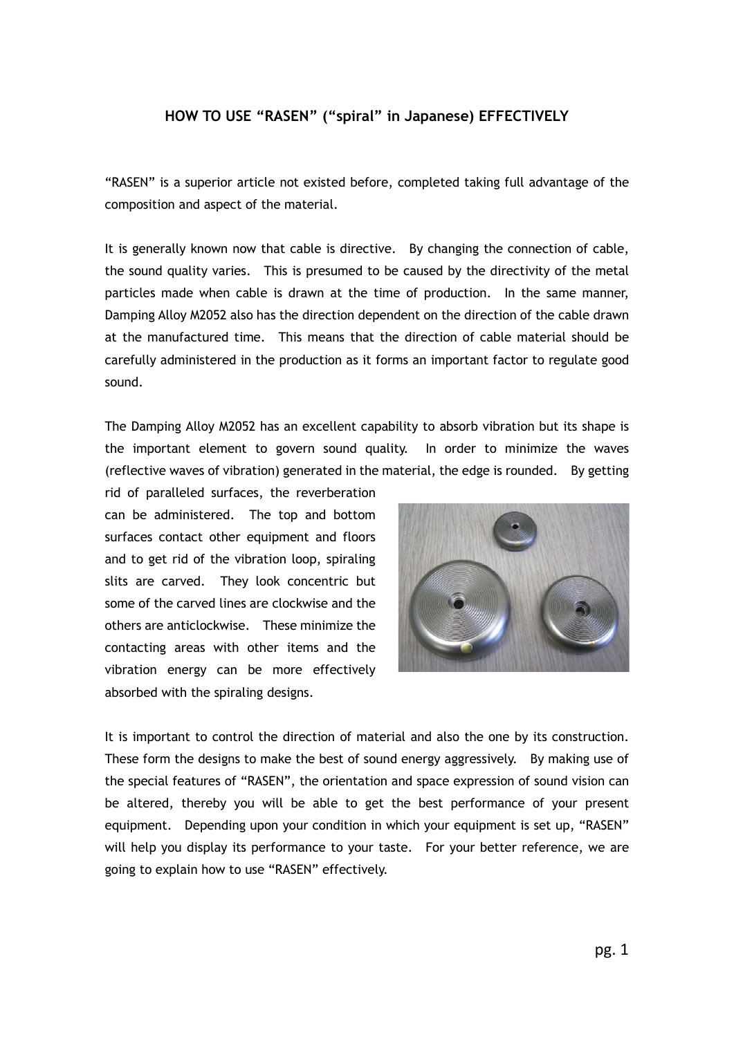### **HOW TO USE "RASEN" ("spiral" in Japanese) EFFECTIVELY**

"RASEN" is a superior article not existed before, completed taking full advantage of the composition and aspect of the material.

It is generally known now that cable is directive. By changing the connection of cable, the sound quality varies. This is presumed to be caused by the directivity of the metal particles made when cable is drawn at the time of production. In the same manner, Damping Alloy M2052 also has the direction dependent on the direction of the cable drawn at the manufactured time. This means that the direction of cable material should be carefully administered in the production as it forms an important factor to regulate good sound.

The Damping Alloy M2052 has an excellent capability to absorb vibration but its shape is the important element to govern sound quality. In order to minimize the waves (reflective waves of vibration) generated in the material, the edge is rounded. By getting

rid of paralleled surfaces, the reverberation can be administered. The top and bottom surfaces contact other equipment and floors and to get rid of the vibration loop, spiraling slits are carved. They look concentric but some of the carved lines are clockwise and the others are anticlockwise. These minimize the contacting areas with other items and the vibration energy can be more effectively absorbed with the spiraling designs.



It is important to control the direction of material and also the one by its construction. These form the designs to make the best of sound energy aggressively. By making use of the special features of "RASEN", the orientation and space expression of sound vision can be altered, thereby you will be able to get the best performance of your present equipment. Depending upon your condition in which your equipment is set up, "RASEN" will help you display its performance to your taste. For your better reference, we are going to explain how to use "RASEN" effectively.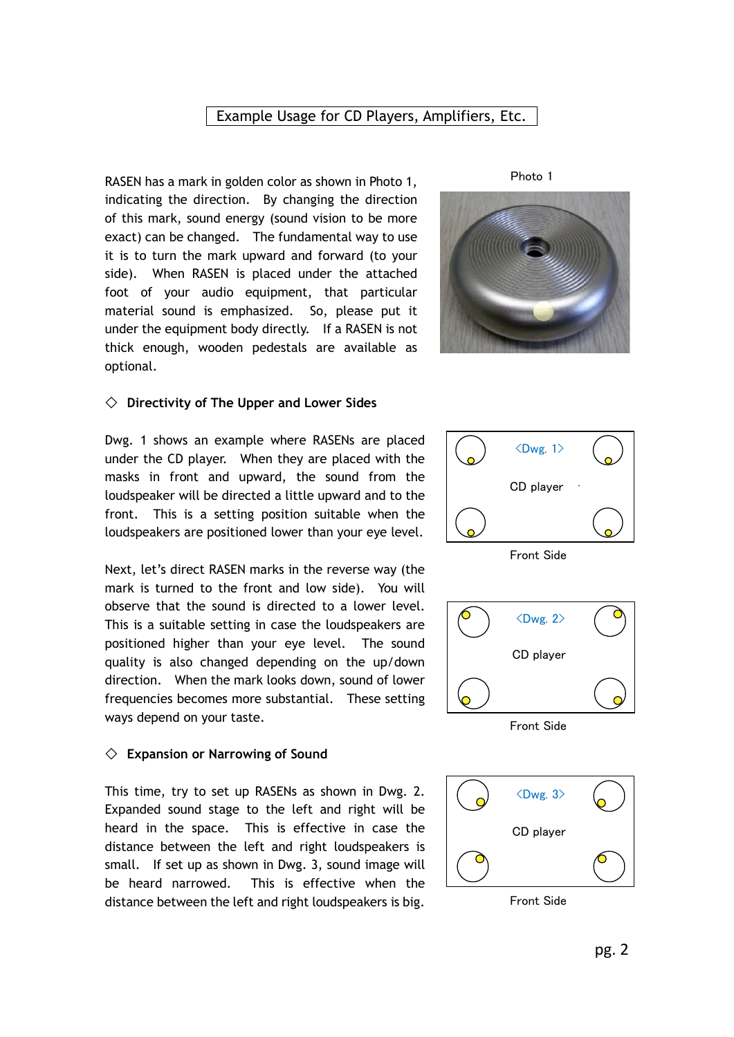## Example Usage for CD Players, Amplifiers, Etc.

RASEN has a mark in golden color as shown in Photo 1, indicating the direction. By changing the direction of this mark, sound energy (sound vision to be more exact) can be changed. The fundamental way to use it is to turn the mark upward and forward (to your side). When RASEN is placed under the attached foot of your audio equipment, that particular material sound is emphasized. So, please put it under the equipment body directly. If a RASEN is not thick enough, wooden pedestals are available as optional.

Photo 1



#### ◇ **Directivity of The Upper and Lower Sides**

Dwg. 1 shows an example where RASENs are placed under the CD player. When they are placed with the masks in front and upward, the sound from the loudspeaker will be directed a little upward and to the front. This is a setting position suitable when the loudspeakers are positioned lower than your eye level.

Next, let's direct RASEN marks in the reverse way (the mark is turned to the front and low side). You will observe that the sound is directed to a lower level. This is a suitable setting in case the loudspeakers are positioned higher than your eye level. The sound quality is also changed depending on the up/down direction. When the mark looks down, sound of lower frequencies becomes more substantial. These setting ways depend on your taste.

#### ◇ **Expansion or Narrowing of Sound**

This time, try to set up RASENs as shown in Dwg. 2. Expanded sound stage to the left and right will be heard in the space. This is effective in case the distance between the left and right loudspeakers is small. If set up as shown in Dwg. 3, sound image will be heard narrowed. This is effective when the distance between the left and right loudspeakers is big.



Front Side



Front Side



Front Side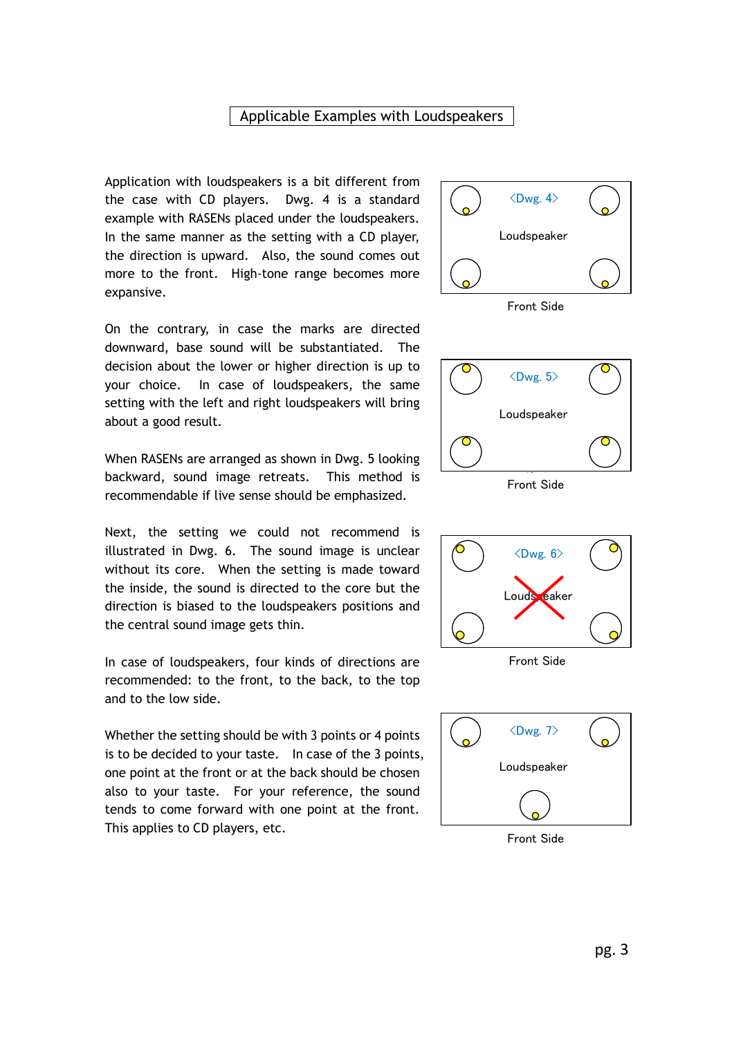## Applicable Examples with Loudspeakers

Application with loudspeakers is a bit different from the case with CD players. Dwg. 4 is a standard example with RASENs placed under the loudspeakers. In the same manner as the setting with a CD player, the direction is upward. Also, the sound comes out more to the front. High-tone range becomes more expansive.



Front Side

On the contrary, in case the marks are directed downward, base sound will be substantiated. The decision about the lower or higher direction is up to your choice. In case of loudspeakers, the same setting with the left and right loudspeakers will bring about a good result.

When RASENs are arranged as shown in Dwg. 5 looking backward, sound image retreats. This method is recommendable if live sense should be emphasized.

Next, the setting we could not recommend is illustrated in Dwg. 6. The sound image is unclear without its core. When the setting is made toward the inside, the sound is directed to the core but the direction is biased to the loudspeakers positions and the central sound image gets thin.

In case of loudspeakers, four kinds of directions are recommended: to the front, to the back, to the top and to the low side.

Whether the setting should be with 3 points or 4 points is to be decided to your taste. In case of the 3 points, one point at the front or at the back should be chosen also to your taste. For your reference, the sound tends to come forward with one point at the front. This applies to CD players, etc.



Front Side



Front Side



Front Side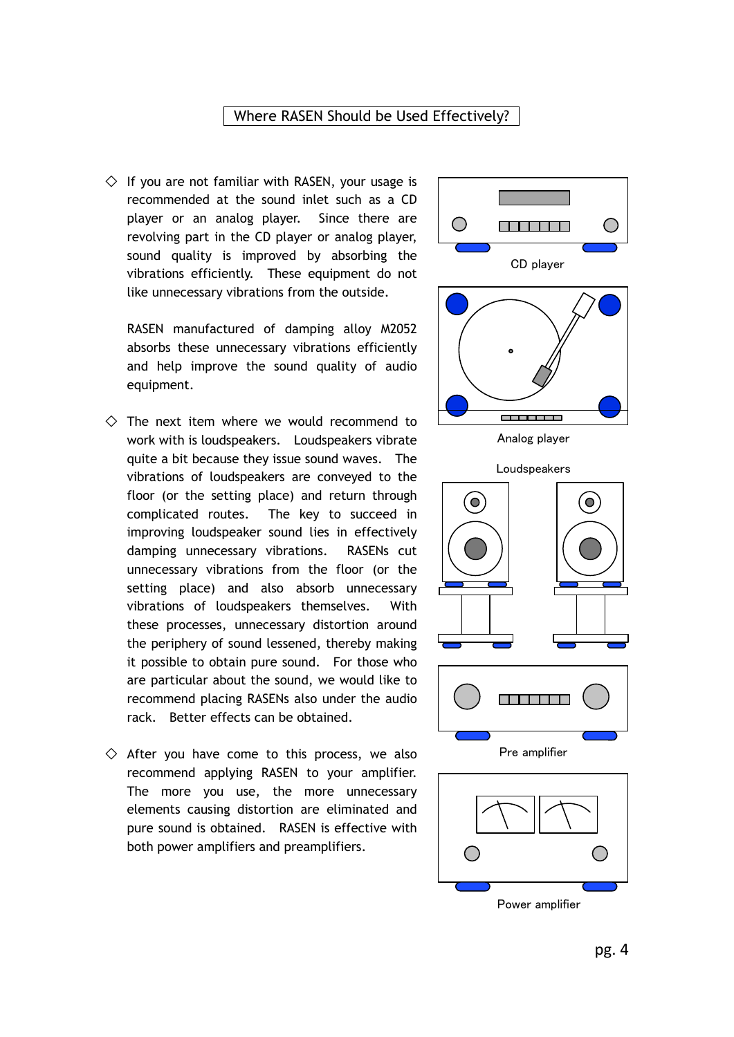#### Where RASEN Should be Used Effectively?

 $\diamondsuit$  If you are not familiar with RASEN, your usage is recommended at the sound inlet such as a CD player or an analog player. Since there are revolving part in the CD player or analog player, sound quality is improved by absorbing the vibrations efficiently. These equipment do not like unnecessary vibrations from the outside.

RASEN manufactured of damping alloy M2052 absorbs these unnecessary vibrations efficiently and help improve the sound quality of audio equipment.

- $\Diamond$  The next item where we would recommend to work with is loudspeakers. Loudspeakers vibrate quite a bit because they issue sound waves. The vibrations of loudspeakers are conveyed to the floor (or the setting place) and return through complicated routes. The key to succeed in improving loudspeaker sound lies in effectively damping unnecessary vibrations. RASENs cut unnecessary vibrations from the floor (or the setting place) and also absorb unnecessary vibrations of loudspeakers themselves. With these processes, unnecessary distortion around the periphery of sound lessened, thereby making it possible to obtain pure sound. For those who are particular about the sound, we would like to recommend placing RASENs also under the audio rack. Better effects can be obtained.
- $\diamondsuit$  After you have come to this process, we also recommend applying RASEN to your amplifier. The more you use, the more unnecessary elements causing distortion are eliminated and pure sound is obtained. RASEN is effective with both power amplifiers and preamplifiers.



Power amplifier